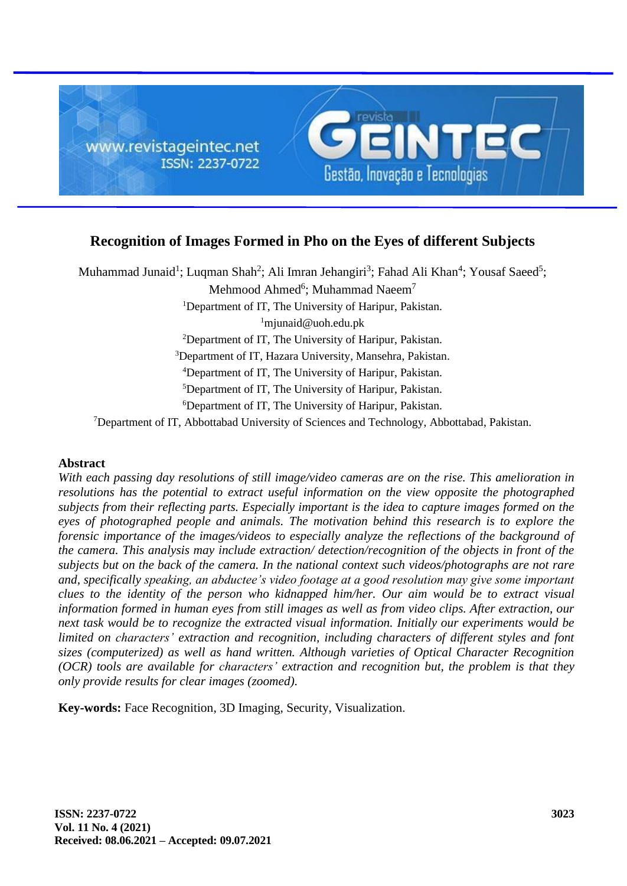

# **Recognition of Images Formed in Pho on the Eyes of different Subjects**

Muhammad Junaid<sup>1</sup>; Luqman Shah<sup>2</sup>; Ali Imran Jehangiri<sup>3</sup>; Fahad Ali Khan<sup>4</sup>; Yousaf Saeed<sup>5</sup>; Mehmood Ahmed<sup>6</sup>; Muhammad Naeem<sup>7</sup> <sup>1</sup>Department of IT, The University of Haripur, Pakistan.  $1$ mjunaid@uoh.edu.pk <sup>2</sup>Department of IT, The University of Haripur, Pakistan. <sup>3</sup>Department of IT, Hazara University, Mansehra, Pakistan. <sup>4</sup>Department of IT, The University of Haripur, Pakistan. <sup>5</sup>Department of IT, The University of Haripur, Pakistan. <sup>6</sup>Department of IT, The University of Haripur, Pakistan. <sup>7</sup>Department of IT, Abbottabad University of Sciences and Technology, Abbottabad, Pakistan.

# **Abstract**

*With each passing day resolutions of still image/video cameras are on the rise. This amelioration in resolutions has the potential to extract useful information on the view opposite the photographed subjects from their reflecting parts. Especially important is the idea to capture images formed on the eyes of photographed people and animals. The motivation behind this research is to explore the forensic importance of the images/videos to especially analyze the reflections of the background of the camera. This analysis may include extraction/ detection/recognition of the objects in front of the subjects but on the back of the camera. In the national context such videos/photographs are not rare and, specifically speaking, an abductee's video footage at a good resolution may give some important clues to the identity of the person who kidnapped him/her. Our aim would be to extract visual information formed in human eyes from still images as well as from video clips. After extraction, our next task would be to recognize the extracted visual information. Initially our experiments would be limited on characters' extraction and recognition, including characters of different styles and font sizes (computerized) as well as hand written. Although varieties of Optical Character Recognition (OCR) tools are available for characters' extraction and recognition but, the problem is that they only provide results for clear images (zoomed).*

**Key-words:** Face Recognition, 3D Imaging, Security, Visualization.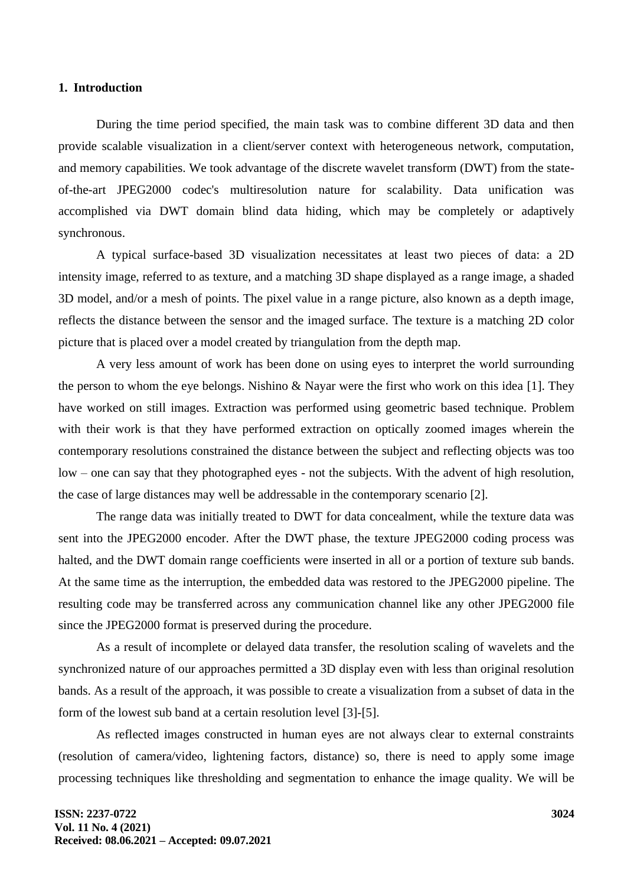#### **1. Introduction**

During the time period specified, the main task was to combine different 3D data and then provide scalable visualization in a client/server context with heterogeneous network, computation, and memory capabilities. We took advantage of the discrete wavelet transform (DWT) from the stateof-the-art JPEG2000 codec's multiresolution nature for scalability. Data unification was accomplished via DWT domain blind data hiding, which may be completely or adaptively synchronous.

A typical surface-based 3D visualization necessitates at least two pieces of data: a 2D intensity image, referred to as texture, and a matching 3D shape displayed as a range image, a shaded 3D model, and/or a mesh of points. The pixel value in a range picture, also known as a depth image, reflects the distance between the sensor and the imaged surface. The texture is a matching 2D color picture that is placed over a model created by triangulation from the depth map.

A very less amount of work has been done on using eyes to interpret the world surrounding the person to whom the eye belongs. Nishino & Nayar were the first who work on this idea [1]. They have worked on still images. Extraction was performed using geometric based technique. Problem with their work is that they have performed extraction on optically zoomed images wherein the contemporary resolutions constrained the distance between the subject and reflecting objects was too low – one can say that they photographed eyes - not the subjects. With the advent of high resolution, the case of large distances may well be addressable in the contemporary scenario [2].

The range data was initially treated to DWT for data concealment, while the texture data was sent into the JPEG2000 encoder. After the DWT phase, the texture JPEG2000 coding process was halted, and the DWT domain range coefficients were inserted in all or a portion of texture sub bands. At the same time as the interruption, the embedded data was restored to the JPEG2000 pipeline. The resulting code may be transferred across any communication channel like any other JPEG2000 file since the JPEG2000 format is preserved during the procedure.

As a result of incomplete or delayed data transfer, the resolution scaling of wavelets and the synchronized nature of our approaches permitted a 3D display even with less than original resolution bands. As a result of the approach, it was possible to create a visualization from a subset of data in the form of the lowest sub band at a certain resolution level [3]-[5].

As reflected images constructed in human eyes are not always clear to external constraints (resolution of camera/video, lightening factors, distance) so, there is need to apply some image processing techniques like thresholding and segmentation to enhance the image quality. We will be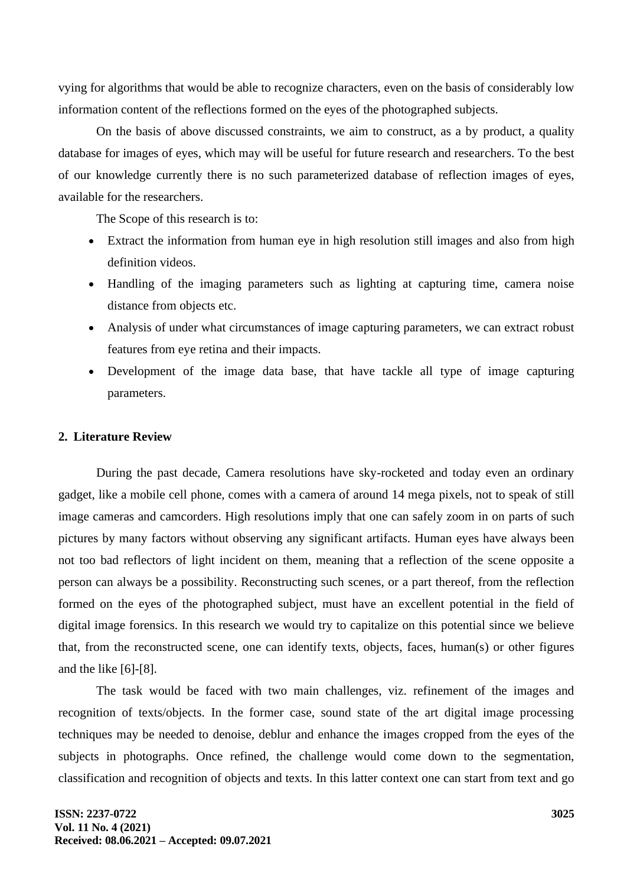vying for algorithms that would be able to recognize characters, even on the basis of considerably low information content of the reflections formed on the eyes of the photographed subjects.

On the basis of above discussed constraints, we aim to construct, as a by product, a quality database for images of eyes, which may will be useful for future research and researchers. To the best of our knowledge currently there is no such parameterized database of reflection images of eyes, available for the researchers.

The Scope of this research is to:

- Extract the information from human eye in high resolution still images and also from high definition videos.
- Handling of the imaging parameters such as lighting at capturing time, camera noise distance from objects etc.
- Analysis of under what circumstances of image capturing parameters, we can extract robust features from eye retina and their impacts.
- Development of the image data base, that have tackle all type of image capturing parameters.

## **2. Literature Review**

During the past decade, Camera resolutions have sky-rocketed and today even an ordinary gadget, like a mobile cell phone, comes with a camera of around 14 mega pixels, not to speak of still image cameras and camcorders. High resolutions imply that one can safely zoom in on parts of such pictures by many factors without observing any significant artifacts. Human eyes have always been not too bad reflectors of light incident on them, meaning that a reflection of the scene opposite a person can always be a possibility. Reconstructing such scenes, or a part thereof, from the reflection formed on the eyes of the photographed subject, must have an excellent potential in the field of digital image forensics. In this research we would try to capitalize on this potential since we believe that, from the reconstructed scene, one can identify texts, objects, faces, human(s) or other figures and the like [6]-[8].

The task would be faced with two main challenges, viz. refinement of the images and recognition of texts/objects. In the former case, sound state of the art digital image processing techniques may be needed to denoise, deblur and enhance the images cropped from the eyes of the subjects in photographs. Once refined, the challenge would come down to the segmentation, classification and recognition of objects and texts. In this latter context one can start from text and go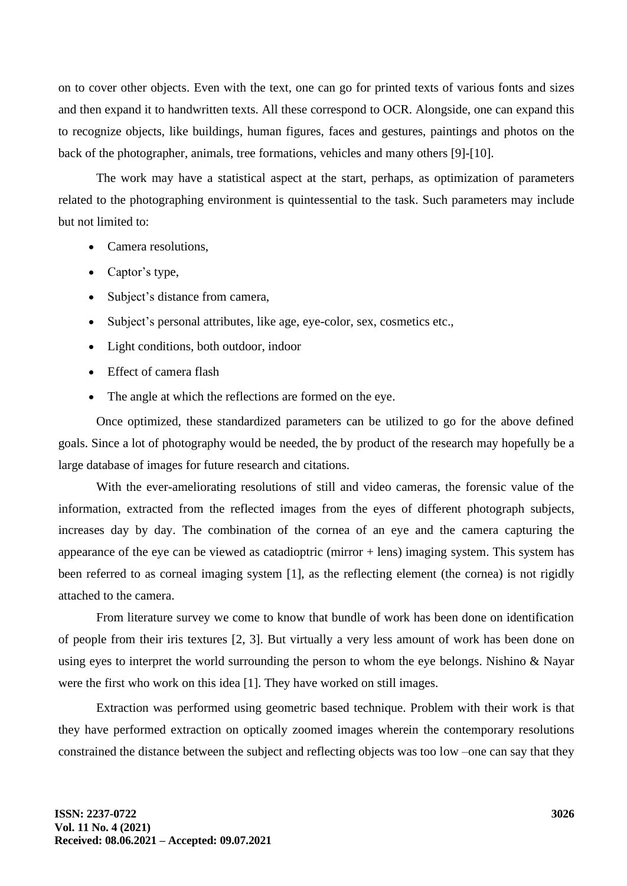on to cover other objects. Even with the text, one can go for printed texts of various fonts and sizes and then expand it to handwritten texts. All these correspond to OCR. Alongside, one can expand this to recognize objects, like buildings, human figures, faces and gestures, paintings and photos on the back of the photographer, animals, tree formations, vehicles and many others [9]-[10].

The work may have a statistical aspect at the start, perhaps, as optimization of parameters related to the photographing environment is quintessential to the task. Such parameters may include but not limited to:

- Camera resolutions,
- Captor's type,
- Subject's distance from camera,
- Subject's personal attributes, like age, eye-color, sex, cosmetics etc.,
- Light conditions, both outdoor, indoor
- Effect of camera flash
- The angle at which the reflections are formed on the eye.

Once optimized, these standardized parameters can be utilized to go for the above defined goals. Since a lot of photography would be needed, the by product of the research may hopefully be a large database of images for future research and citations.

With the ever-ameliorating resolutions of still and video cameras, the forensic value of the information, extracted from the reflected images from the eyes of different photograph subjects, increases day by day. The combination of the cornea of an eye and the camera capturing the appearance of the eye can be viewed as catadioptric (mirror  $+$  lens) imaging system. This system has been referred to as corneal imaging system [1], as the reflecting element (the cornea) is not rigidly attached to the camera.

From literature survey we come to know that bundle of work has been done on identification of people from their iris textures [2, 3]. But virtually a very less amount of work has been done on using eyes to interpret the world surrounding the person to whom the eye belongs. Nishino & Nayar were the first who work on this idea [1]. They have worked on still images.

Extraction was performed using geometric based technique. Problem with their work is that they have performed extraction on optically zoomed images wherein the contemporary resolutions constrained the distance between the subject and reflecting objects was too low –one can say that they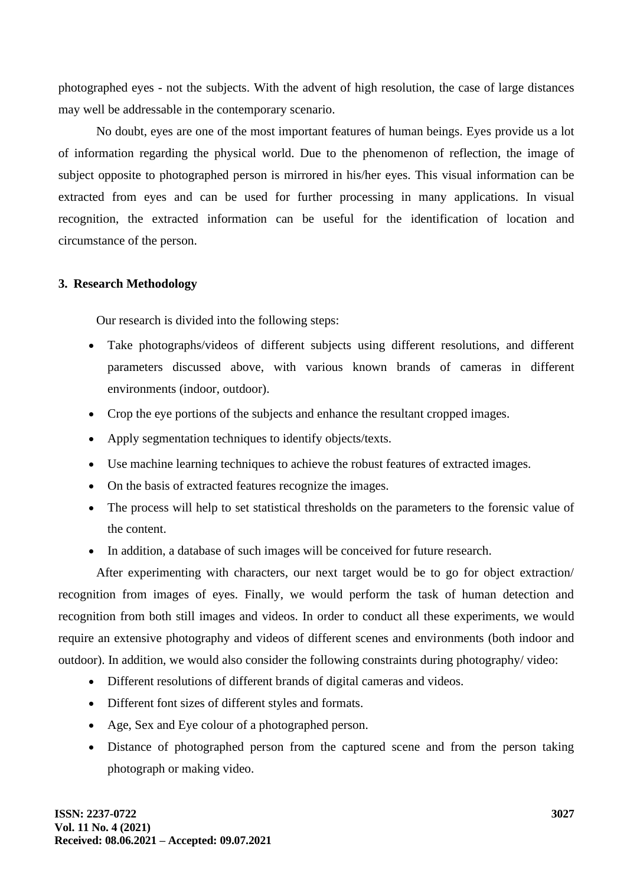photographed eyes - not the subjects. With the advent of high resolution, the case of large distances may well be addressable in the contemporary scenario.

No doubt, eyes are one of the most important features of human beings. Eyes provide us a lot of information regarding the physical world. Due to the phenomenon of reflection, the image of subject opposite to photographed person is mirrored in his/her eyes. This visual information can be extracted from eyes and can be used for further processing in many applications. In visual recognition, the extracted information can be useful for the identification of location and circumstance of the person.

## **3. Research Methodology**

Our research is divided into the following steps:

- Take photographs/videos of different subjects using different resolutions, and different parameters discussed above, with various known brands of cameras in different environments (indoor, outdoor).
- Crop the eye portions of the subjects and enhance the resultant cropped images.
- Apply segmentation techniques to identify objects/texts.
- Use machine learning techniques to achieve the robust features of extracted images.
- On the basis of extracted features recognize the images.
- The process will help to set statistical thresholds on the parameters to the forensic value of the content.
- In addition, a database of such images will be conceived for future research.

After experimenting with characters, our next target would be to go for object extraction/ recognition from images of eyes. Finally, we would perform the task of human detection and recognition from both still images and videos. In order to conduct all these experiments, we would require an extensive photography and videos of different scenes and environments (both indoor and outdoor). In addition, we would also consider the following constraints during photography/ video:

- Different resolutions of different brands of digital cameras and videos.
- Different font sizes of different styles and formats.
- Age, Sex and Eye colour of a photographed person.
- Distance of photographed person from the captured scene and from the person taking photograph or making video.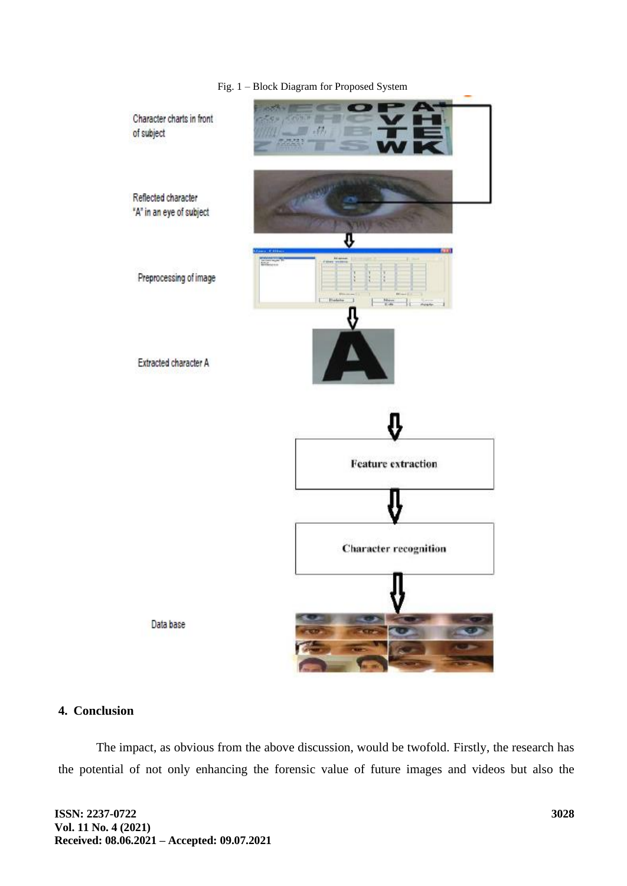

Fig. 1 – Block Diagram for Proposed System

#### **4. Conclusion**

The impact, as obvious from the above discussion, would be twofold. Firstly, the research has the potential of not only enhancing the forensic value of future images and videos but also the

**ISSN: 2237-0722 Vol. 11 No. 4 (2021) Received: 08.06.2021 – Accepted: 09.07.2021**